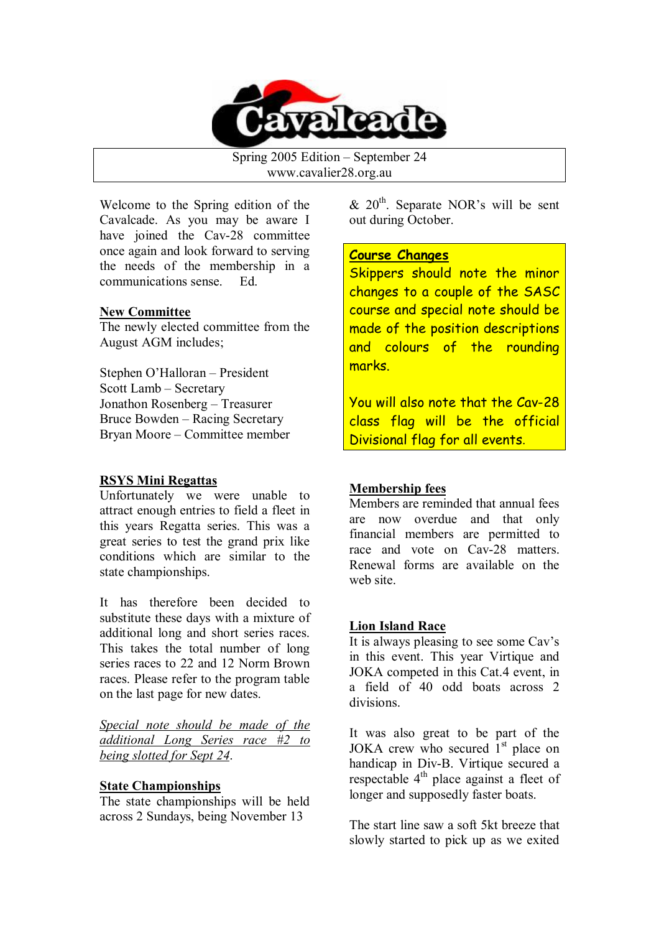

Spring 2005 Edition – September 24 www.cavalier28.org.au

Welcome to the Spring edition of the Cavalcade. As you may be aware I have joined the Cav-28 committee once again and look forward to serving the needs of the membership in a communications sense. Ed.

#### **New Committee**

The newly elected committee from the August AGM includes;

Stephen O'Halloran – President Scott Lamb – Secretary Jonathon Rosenberg – Treasurer Bruce Bowden – Racing Secretary Bryan Moore – Committee member

# **RSYS Mini Regattas**

Unfortunately we were unable to attract enough entries to field a fleet in this years Regatta series. This was a great series to test the grand prix like conditions which are similar to the state championships.

It has therefore been decided to substitute these days with a mixture of additional long and short series races. This takes the total number of long series races to 22 and 12 Norm Brown races. Please refer to the program table on the last page for new dates.

*Special note should be made of the additional Long Series race #2 to being slotted for Sept 24*.

# **State Championships**

The state championships will be held across 2 Sundays, being November 13

 $& 20<sup>th</sup>$ . Separate NOR's will be sent out during October.

# **Course Changes**

Skippers should note the minor changes to a couple of the SASC course and special note should be made of the position descriptions and colours of the rounding marks.

You will also note that the Cav-28 class flag will be the official Divisional flag for all events.

# **Membership fees**

Members are reminded that annual fees are now overdue and that only financial members are permitted to race and vote on Cav-28 matters. Renewal forms are available on the web site.

# **Lion Island Race**

It is always pleasing to see some Cav's in this event. This year Virtique and JOKA competed in this Cat.4 event, in a field of 40 odd boats across 2 divisions.

It was also great to be part of the JOKA crew who secured  $1<sup>st</sup>$  place on handicap in Div-B. Virtique secured a respectable  $4<sup>th</sup>$  place against a fleet of longer and supposedly faster boats.

The start line saw a soft 5kt breeze that slowly started to pick up as we exited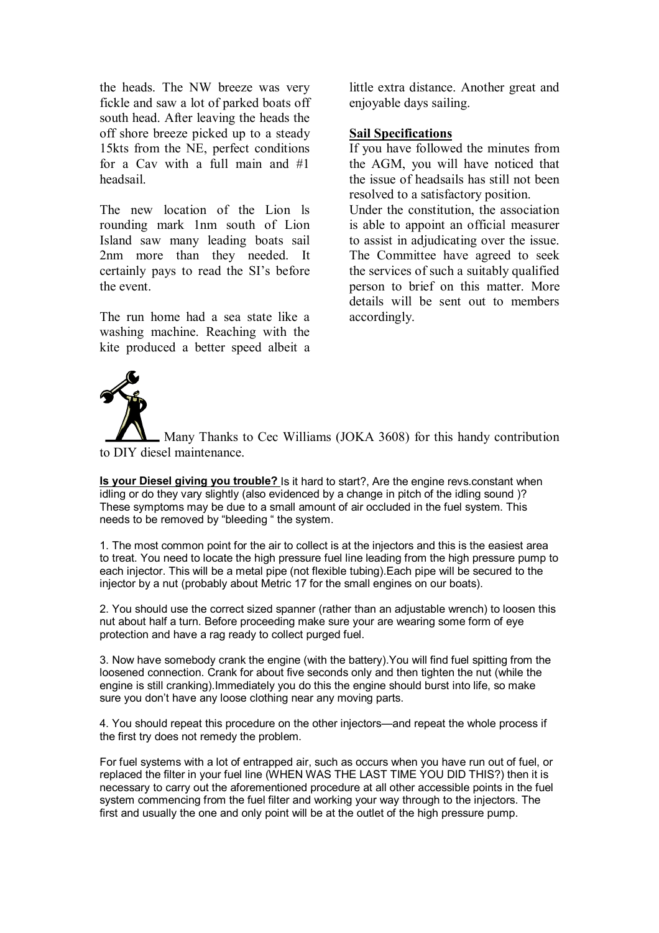the heads. The NW breeze was very fickle and saw a lot of parked boats off south head. After leaving the heads the off shore breeze picked up to a steady 15kts from the NE, perfect conditions for a Cav with a full main and #1 headsail.

The new location of the Lion ls rounding mark 1nm south of Lion Island saw many leading boats sail 2nm more than they needed. It certainly pays to read the SI's before the event.

The run home had a sea state like a washing machine. Reaching with the kite produced a better speed albeit a little extra distance. Another great and enjoyable days sailing.

#### **Sail Specifications**

If you have followed the minutes from the AGM, you will have noticed that the issue of headsails has still not been resolved to a satisfactory position.

Under the constitution, the association is able to appoint an official measurer to assist in adjudicating over the issue. The Committee have agreed to seek the services of such a suitably qualified person to brief on this matter. More details will be sent out to members accordingly.



Many Thanks to Cec Williams (JOKA 3608) for this handy contribution to DIY diesel maintenance.

**Is your Diesel giving you trouble?** Is it hard to start?, Are the engine revs.constant when idling or do they vary slightly (also evidenced by a change in pitch of the idling sound )? These symptoms may be due to a small amount of air occluded in the fuel system. This needs to be removed by "bleeding " the system.

1. The most common point for the air to collect is at the injectors and this is the easiest area to treat. You need to locate the high pressure fuel line leading from the high pressure pump to each injector. This will be a metal pipe (not flexible tubing).Each pipe will be secured to the injector by a nut (probably about Metric 17 for the small engines on our boats).

2. You should use the correct sized spanner (rather than an adjustable wrench) to loosen this nut about half a turn. Before proceeding make sure your are wearing some form of eye protection and have a rag ready to collect purged fuel.

3. Now have somebody crank the engine (with the battery).You will find fuel spitting from the loosened connection. Crank for about five seconds only and then tighten the nut (while the engine is still cranking).Immediately you do this the engine should burst into life, so make sure you don't have any loose clothing near any moving parts.

4. You should repeat this procedure on the other injectors—and repeat the whole process if the first try does not remedy the problem.

For fuel systems with a lot of entrapped air, such as occurs when you have run out of fuel, or replaced the filter in your fuel line (WHEN WAS THE LAST TIME YOU DID THIS?) then it is necessary to carry out the aforementioned procedure at all other accessible points in the fuel system commencing from the fuel filter and working your way through to the injectors. The first and usually the one and only point will be at the outlet of the high pressure pump.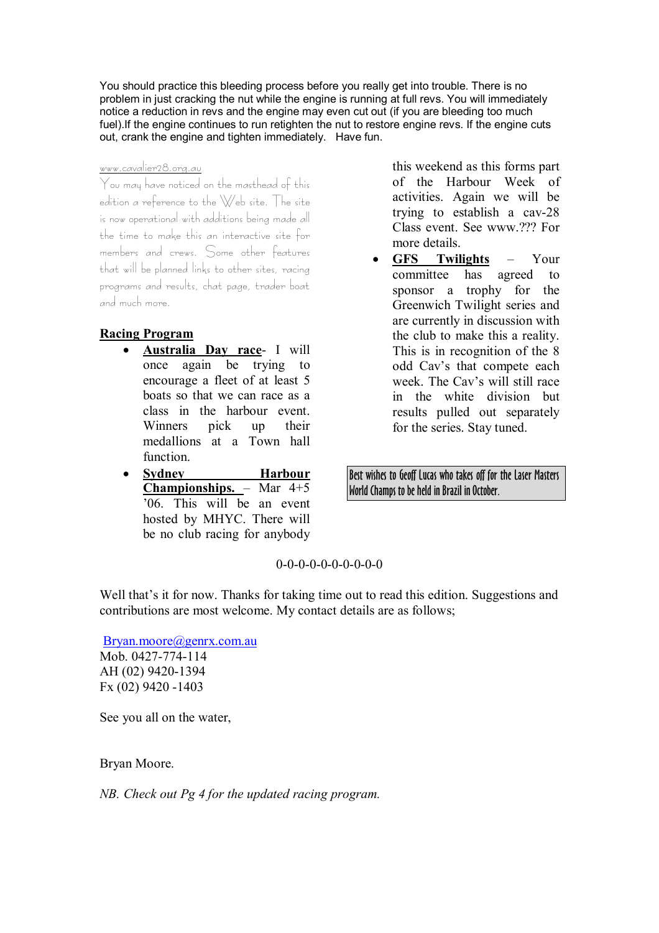You should practice this bleeding process before you really get into trouble. There is no problem in just cracking the nut while the engine is running at full revs. You will immediately notice a reduction in revs and the engine may even cut out (if you are bleeding too much fuel).If the engine continues to run retighten the nut to restore engine revs. If the engine cuts out, crank the engine and tighten immediately. Have fun.

#### www.cavalier28.org.au

You may have noticed on the masthead of this edition a reference to the Web site. The site is now operational with additions being made all the time to make this an interactive site for members and crews. Some other features that will be planned links to other sites, racing programs and results, chat page, trader boat and much more.

# **Racing Program**

- · **Australia Day race** I will once again be trying to encourage a fleet of at least 5 boats so that we can race as a class in the harbour event. Winners pick up their medallions at a Town hall function.
- · **Sydney Harbour Championships.** – Mar 4+5 '06. This will be an event hosted by MHYC. There will be no club racing for anybody

this weekend as this forms part of the Harbour Week of activities. Again we will be trying to establish a cav-28 Class event. See www.??? For more details.

· **GFS Twilights** – Your committee has agreed to sponsor a trophy for the Greenwich Twilight series and are currently in discussion with the club to make this a reality. This is in recognition of the 8 odd Cav's that compete each week. The Cav's will still race in the white division but results pulled out separately for the series. Stay tuned.

Best wishes to Geoff Lucas who takes off for the Laser Masters World Champs to be held in Brazil in October.

 $0-0-0-0-0-0-0-0-0-0$ 

Well that's it for now. Thanks for taking time out to read this edition. Suggestions and contributions are most welcome. My contact details are as follows;

Bryan.moore@genrx.com.au Mob. 0427-774-114 AH (02) 9420-1394 Fx (02) 9420 -1403

See you all on the water,

Bryan Moore.

*NB. Check out Pg 4 for the updated racing program.*